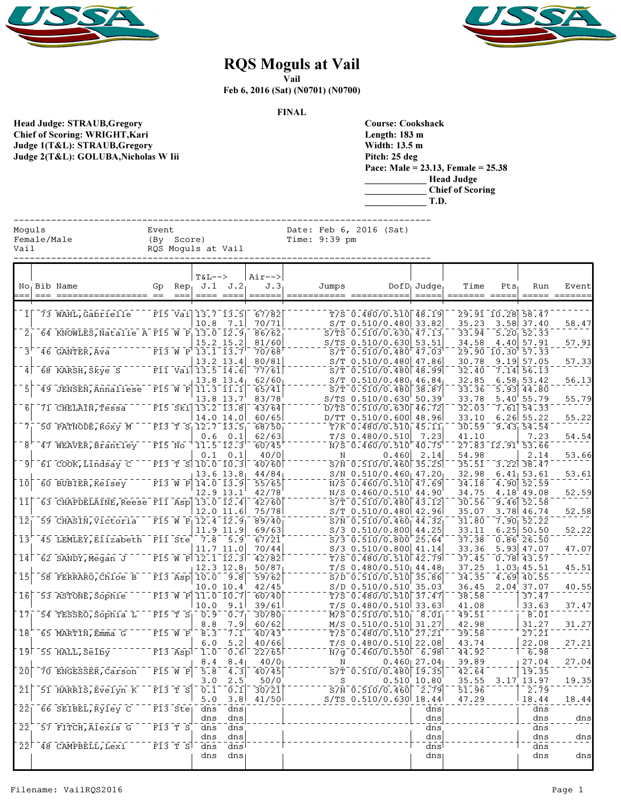



## RQS Moguls at Vail

Vail

Feb 6, 2016 (Sat) (N0701) (N0700)

FINAL

Head Judge: STRAUB,Gregory Chief of Scoring: WRIGHT,Kari Judge 1(T&L): STRAUB,Gregory Judge 2(T&L): GOLUBA,Nicholas W Iii

| Course: Cookshack |                                         |
|-------------------|-----------------------------------------|
| Length: 183 m     |                                         |
| Width: 13.5 m     |                                         |
| Pitch: 25 deg     |                                         |
|                   | Pace: Male = $23.13$ , Female = $25.38$ |
|                   | Head Judge                              |
|                   | <b>Chief of Scoring</b>                 |
|                   |                                         |

|                                  |  |                                                   |        |                                                            |                                         |                                       |                                       |                                            |                                                    |       | T.D.                                                      |                                                       |                        |                                            |                 |
|----------------------------------|--|---------------------------------------------------|--------|------------------------------------------------------------|-----------------------------------------|---------------------------------------|---------------------------------------|--------------------------------------------|----------------------------------------------------|-------|-----------------------------------------------------------|-------------------------------------------------------|------------------------|--------------------------------------------|-----------------|
| Moguls<br>Female/Male<br>Vail    |  |                                                   | Event  | (By Score)                                                 | RQS Moguls at Vail                      |                                       |                                       | Date: Feb 6, 2016 (Sat)<br>Time: $9:39$ pm |                                                    |       |                                                           |                                                       |                        |                                            |                 |
|                                  |  | No <sub>1</sub> Bib Name                          | Gp     |                                                            | $T&L-->$<br>$Rep1$ J.1 J.2<br>---- ---- |                                       | $Air--$<br>J.3 <sub>1</sub><br>====== | Jumps                                      |                                                    |       | $DofD_1$ Judge <sub>1</sub>                               | Time                                                  | $Pts_1$                | Run                                        | Event<br>====== |
|                                  |  | 73 WAHL, Gabrielle                                |        |                                                            | $F15$ Vai $13.7$ $13.5$                 |                                       | 67/82                                 |                                            |                                                    |       | $T/S$ 0.480/0.510 48.19                                   |                                                       | 29.91 10.28 58.47      |                                            |                 |
|                                  |  | 64 KNOWLES, Natalie A F15 W P 13.0 12.9           |        |                                                            | 10.8                                    | 7.1                                   | 70/71<br>86/62<br>81/60               |                                            | $S/TS$ 0.510/0.630 53.51                           |       | $S/T$ 0.510/0.480 33.82<br>$S/TS$ 0.510/0.630 47.13       | 35.23<br>33.94                                        |                        | $3.58$ 37.40<br>5.20, 52.33                | 58.47           |
| 3'                               |  | 46 GANTER, Ava                                    |        |                                                            | F13 W P 13.1 13.7                       | 15.2 15.2<br>13.2 13.4                | 70/68<br>80/81                        |                                            |                                                    |       | $S/T$ 0.510/0.480 47.03<br>$S/T$ 0.510/0.480 47.86        | 34.58<br>30.78                                        | 29.90 10.30 57.33      | 4.40 57.91<br>$9.19$ $57.05$               | 57.91<br>57.33  |
| 4 <sup>1</sup>                   |  | 68 KARSH, Skye S                                  |        |                                                            | $F11$ $Va1$ $13.5$ $I4.6$               | $13.8$ $13.4$                         | 77/61<br>62/60                        |                                            |                                                    |       | $S/T$ 0.510/0.480 48.99<br>$S/T$ 0.510/0.480 46.84        | 32.40<br>32.85                                        |                        | $7.14$ 56.13<br>6.58, 53.42                | 56.13           |
| $\overline{5}$                   |  | 49 JENSEN, Annaliese F15 W P                      |        |                                                            |                                         | $11.3$ $11.1$<br>13.8 13.7            | 65/41<br>83/78                        |                                            |                                                    |       | $S/T$ 0.510/0.480 38.87<br>S/TS 0.510/0.630 50.39         | 33.36<br>33.78                                        |                        | $5.93 \overline{)44.80}$<br>$5.40'$ 55.79  | 55.79           |
| $6 \mid$                         |  | 71 CHELAIN, Tessa                                 |        |                                                            | $F15$ Ski $13.2$ $13.8$                 | 14.0 14.0                             | 43/64<br>60/65                        |                                            |                                                    |       | D/TS 0.510/0.630 46.72<br>D/TT 0.510/0.600 48.96          | 32.03<br>33.10                                        |                        | $7.61$ 54.33<br>$6.26$ 55.22               | 55.22           |
| 7 <sub>1</sub>                   |  | 50 PATNODE, ROXY M                                |        |                                                            | $F13$ T $S_1$ 12.7 13.5<br>0.6          | 0.1                                   | 68/50<br>62/63                        |                                            | $T/S$ 0.480/0.510                                  |       | $T/K$ 0.480/0.510 45.11<br>7.23                           | 41.10                                                 | $30.59$ $9.43$ $54.54$ | 7.23                                       | 54.54           |
| 8'<br>$\overline{9}$             |  | 47 WEAVER, Brantley<br>61 COOK, Lindsay C         | F15 No | $\overline{F13}$ $\overline{T}$ $\overline{S}$             | 0.1                                     | $11.5 - 12.3$<br>0.1<br>$10.0 - 10.3$ | 60/45<br>40/0<br>40/60                | Ν                                          | N/S 0.460/0.510 40.75                              | 0.460 | 2.14<br>$S/N$ 0.510/0.460 35.25                           | 54.98<br>35.51                                        | 27.83 12.91 53.66      | 2.14<br>$3.22$ $38.47$                     | 53.66           |
| 10                               |  | 60 BUBIER, Kelsey                                 |        | $F13$ W P                                                  |                                         | $13.6$ $13.8$<br>14.0 13.9            | 44/84<br>55/65                        |                                            |                                                    |       | $S/N$ 0.510/0.460 47.20<br>$N/S$ 0.460/0.510 47.69        | 32.98<br>34.18                                        |                        | 6.41, 53.61<br>$\frac{1}{4.90}$ 52.59      | 53.61           |
| 11                               |  | 63 CHAPDELAINE, Reese F11 Asp 13.0 12.4           |        |                                                            |                                         | 12.9 13.1                             | 42/78<br>42/60                        |                                            |                                                    |       | N/S 0.460/0.510 44.90<br>$S/T$ 0.510/0.480 43.12          | 34.75<br>30.56                                        |                        | 4.18 49.08<br>$9.46$ 52.58                 | 52.59           |
| $\bar{1}\bar{2}$                 |  | 59 CHASIN, Victoria                               |        |                                                            | $F15$ W P $12.4$ $12.9$                 | 12.0 11.6                             | 75/78<br>$\sqrt{89}$ $\sqrt{40}$      |                                            |                                                    |       | $S/T$ 0.510/0.480 42.96<br>$S/N$ 0.510/0.460 44.32        | 35.07<br>31.80                                        |                        | 3.78 46.74<br>$7.90 \overline{)52.22}$     | 52.58           |
| 13                               |  | 45 LEMLEY, Elizabeth                              |        | $\overline{F11}$ Ste                                       |                                         | 11.9 11.9<br>$7.8$ 5.9                | 69/63<br>67/21                        |                                            | $S/3$ 0.510/0.800 25.64                            |       | $S/3$ 0.510/0.800 44.25                                   | 33.11<br>37.38                                        |                        | $6.25$ 50.50<br>0.86'26.50                 | 52.22           |
| 14 <sub>1</sub>                  |  | 62 SANDY, Megan J                                 |        |                                                            | $F15$ W P $12.1$ $12.3$                 | 11.7 11.0                             | 70/44<br>42/82                        |                                            | $S/3$ 0.510/0.800 41.14                            |       | $T/S$ 0.480/0.510 42.79                                   | 33.36<br>37.45                                        |                        | $5.93$ 47.07<br>$0.78$ 43.57               | 47.07           |
| $\overline{1}$                   |  | 58 FERRARO, Chloe B                               |        |                                                            | $\overline{F13}$ Asp $\overline{10.0}$  | $12.3$ $12.8$<br>$-9.8$<br>10.0 10.4  | 50/87<br>59/62<br>42/45               |                                            | S/D 0.510/0.510 35.03                              |       | $T/S$ 0.480/0.510 44.48<br>$S/D$ 0.510/0.510 35.86        | 37.25<br>$\bar{3}\bar{4}$ . $\bar{3}\bar{5}$<br>36.45 |                        | $1.03$ 45.51<br>$4.69$ 40.55<br>2.04 37.07 | 45.51<br>40.55  |
| $\overline{1}\overline{6}$       |  | 53 ASTONE, Sophie                                 |        |                                                            | $F13$ W P 11.0 10.7<br>10.0             | 9.1                                   | 60/40<br>39/61                        |                                            |                                                    |       | $T/S$ 0.480/0.510 37.47<br>T/S 0.480/0.510 33.63          | 38.58<br>41.08                                        |                        | 37.47<br>33.63                             | 37.47           |
| $\bar{1}\bar{7}$                 |  | 54 TESSEO, Sophia L                               |        |                                                            | $F15 T S_1 0.9$<br>8.8                  | 0.7<br>7.9                            | 30/80<br>60/62                        |                                            | M/S 0.510/0.510 31.27                              |       | $\overline{M/S}$ 0.510/0.510 8.01                         | 49.51<br>42.98                                        |                        | $8.\overline{01}$<br>31.27                 | 31.27           |
| 18                               |  | 65 MARTIN, Emma G                                 |        | F15W P                                                     | 8.3<br>6.0                              | $\bar{7} \cdot 1$<br>5.2              | 40/43<br>40/66                        |                                            | $T/S$ 0.480/0.510 27.21<br>$T/S$ 0.480/0.510 22.08 |       |                                                           | 39.58<br>43.74                                        |                        | $\overline{27.21}$<br>22.08                | 27.21           |
|                                  |  | $19$ <sup><math>-55</math></sup> $HALL$ , $SeIby$ |        | $F13$ $ASp$                                                | 8.4                                     | $-1.0 - 0.6$<br>8.4                   | $-22/65$<br>40/0                      | N                                          |                                                    |       | $N\sqrt{g}$ 0.460/0.550 6.98<br>$0.460$   27.04           | 44.92<br>39.89                                        |                        | $1 - 6.98$<br>27.04                        | 27.04           |
| 20                               |  | 70 ENGESSER, Carson<br>51 HARRIS, Evelyn K        |        | $F15W$ P<br>$\overline{F13}$ $\overline{T}$ $\overline{S}$ | 5.8<br>3.0                              | 4.3<br>2.5                            | 40/45<br>50/0                         | S                                          |                                                    |       | $S/T$ 0.510/0.480 19.35<br>$0.510$ 10.80                  | 42.64<br>35.55<br>51.96                               |                        | 19.35<br>3.17 13.97                        | 19.35           |
| 21<br>$\overline{2}\overline{2}$ |  | $66$ SEIBEL, $R\bar{y}$ ley C                     |        | $F13$ Stel                                                 | 0.1<br>5.0<br>dns                       | 0.1<br>3.8<br>dns                     | 30/21<br>41/50                        |                                            |                                                    |       | $S/N$ 0.510/0.460 2.79<br>$S/TS$ 0.510/0.630 18.44<br>dns | 47.29                                                 |                        | 2.79<br>18.44<br>dns                       | 18.44           |
| 22                               |  | 57 FITCH, Alexis G                                |        | F13TS                                                      | dns<br>dns                              | dns<br>dns                            |                                       |                                            |                                                    |       | dns<br>dns                                                |                                                       |                        | dns<br>dns                                 | dns             |
|                                  |  | $22$ <sup><math>-48</math></sup> CAMPBELL, Lexi   |        |                                                            | dns<br>$F13 T S$ dns                    | dns<br>dns                            |                                       |                                            |                                                    |       | dns<br>dns                                                |                                                       |                        | dns<br>dns                                 | $\frac{dns}{n}$ |

dns dns dns dns dns